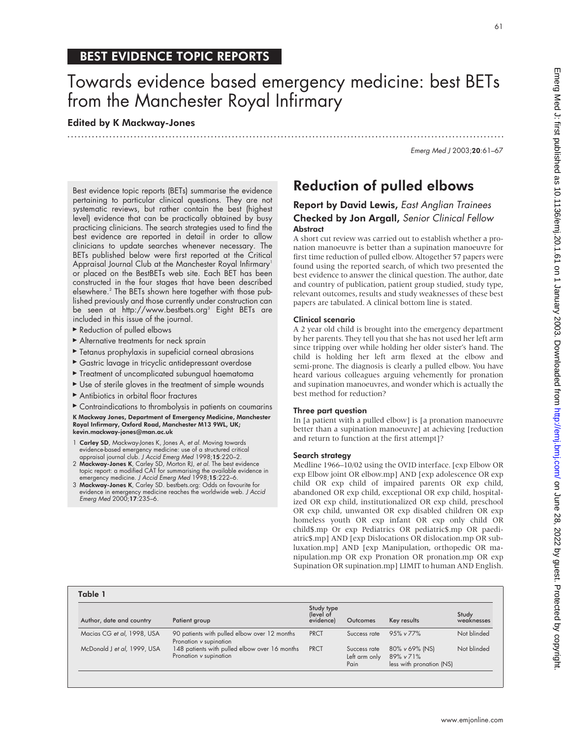.............................................................................................................................

# Towards evidence based emergency medicine: best BETs from the Manchester Royal Infirmary

## Edited by K Mackway-Jones

Emerg Med J 2003;20:61–67

61

Best evidence topic reports (BETs) summarise the evidence pertaining to particular clinical questions. They are not systematic reviews, but rather contain the best (highest level) evidence that can be practically obtained by busy practicing clinicians. The search strategies used to find the best evidence are reported in detail in order to allow clinicians to update searches whenever necessary. The BETs published below were first reported at the Critical Appraisal Journal Club at the Manchester Royal Infirmary<sup>1</sup> or placed on the BestBETs web site. Each BET has been constructed in the four stages that have been described elsewhere.<sup>2</sup> The BETs shown here together with those published previously and those currently under construction can be seen at http://www.bestbets.org<sup>3</sup> Eight BETs are included in this issue of the journal.

- $\blacktriangleright$  Reduction of pulled elbows
- $\blacktriangleright$  Alternative treatments for neck sprain
- $\blacktriangleright$  Tetanus prophylaxis in supeficial corneal abrasions
- $\blacktriangleright$  Gastric lavage in tricyclic antidepressant overdose
- $\blacktriangleright$  Treatment of uncomplicated subungual haematoma
- $\blacktriangleright$  Use of sterile gloves in the treatment of simple wounds
- $\blacktriangleright$  Antibiotics in orbital floor fractures

 $\blacktriangleright$  Contraindications to thrombolysis in patients on coumarins K Mackway Jones, Department of Emergency Medicine, Manchester Royal Infirmary, Oxford Road, Manchester M13 9WL, UK; kevin.mackway-jones@man.ac.uk

- 1 Carley SD, Mackway-Jones K, Jones A, et al. Moving towards evidence-based emergency medicine: use of a structured critical appraisal journal club. J Accid Emerg Med 1998;15:220–2.
- 2 Mackway-Jones K, Carley SD, Morton RJ, *et al.* The best evidence<br>topic report: a modified CAT for summarising the available evidence in<br>emergency medicine. J Accid Emerg Med 1998;15:222–6.<br>3 Mackway-Jones K, Carley SD.
- evidence in emergency medicine reaches the worldwide web. J Accid Emerg Med 2000;17:235-6.

# Reduction of pulled elbows

## Report by David Lewis, East Anglian Trainees Checked by Jon Argall, Senior Clinical Fellow **Abstract**

A short cut review was carried out to establish whether a pronation manoeuvre is better than a supination manoeuvre for first time reduction of pulled elbow. Altogether 57 papers were found using the reported search, of which two presented the best evidence to answer the clinical question. The author, date and country of publication, patient group studied, study type, relevant outcomes, results and study weaknesses of these best papers are tabulated. A clinical bottom line is stated.

### Clinical scenario

A 2 year old child is brought into the emergency department by her parents. They tell you that she has not used her left arm since tripping over while holding her older sister's hand. The child is holding her left arm flexed at the elbow and semi-prone. The diagnosis is clearly a pulled elbow. You have heard various colleagues arguing vehemently for pronation and supination manoeuvres, and wonder which is actually the best method for reduction?

#### Three part question

In [a patient with a pulled elbow] is [a pronation manoeuvre better than a supination manoeuvre] at achieving [reduction and return to function at the first attempt]?

#### Search strategy

Medline 1966–10/02 using the OVID interface. [exp Elbow OR exp Elbow joint OR elbow.mp] AND [exp adolescence OR exp child OR exp child of impaired parents OR exp child, abandoned OR exp child, exceptional OR exp child, hospitalized OR exp child, institutionalized OR exp child, preschool OR exp child, unwanted OR exp disabled children OR exp homeless youth OR exp infant OR exp only child OR child\$.mp Or exp Pediatrics OR pediatric\$.mp OR paediatric\$.mp] AND [exp Dislocations OR dislocation.mp OR subluxation.mp] AND [exp Manipulation, orthopedic OR manipulation.mp OR exp Pronation OR pronation.mp OR exp Supination OR supination.mp] LIMIT to human AND English.

## Table 1

| Author, date and country    | Patient group                                                                  | Study type<br>(level of<br>evidence) | Outcomes                              | Key results                                             | Study<br>weaknesses |
|-----------------------------|--------------------------------------------------------------------------------|--------------------------------------|---------------------------------------|---------------------------------------------------------|---------------------|
| Macias CG et al, 1998, USA  | 90 patients with pulled elbow over 12 months<br>Pronation <i>v</i> supination  | <b>PRCT</b>                          | Success rate                          | $95\% \times 77\%$                                      | Not blinded         |
| McDonald J et al, 1999, USA | 148 patients with pulled elbow over 16 months<br>Pronation <i>v</i> supination | <b>PRCT</b>                          | Success rate<br>Left arm only<br>Pain | 80% v 69% (NS)<br>89% v 71%<br>less with pronation (NS) | Not blinded         |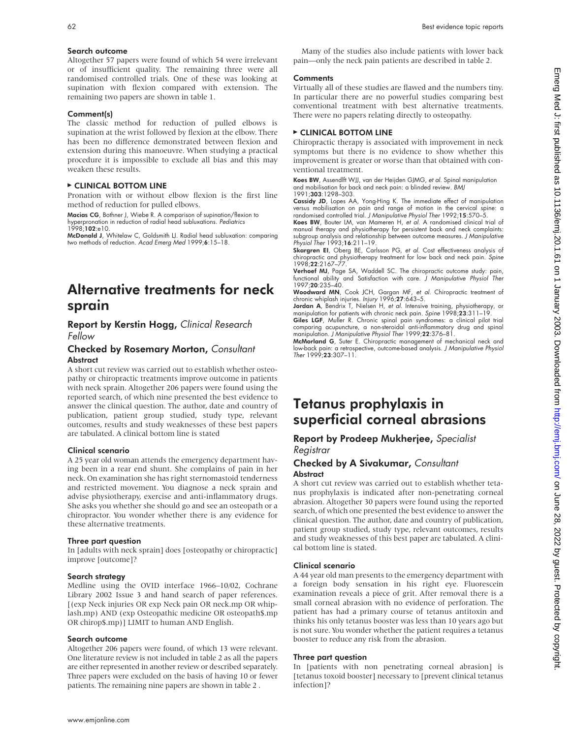#### Search outcome

Altogether 57 papers were found of which 54 were irrelevant or of insufficient quality. The remaining three were all randomised controlled trials. One of these was looking at supination with flexion compared with extension. The remaining two papers are shown in table 1.

#### Comment(s)

The classic method for reduction of pulled elbows is supination at the wrist followed by flexion at the elbow. There has been no difference demonstrated between flexion and extension during this manoeuvre. When studying a practical procedure it is impossible to exclude all bias and this may weaken these results.

#### **EXAMPLE CLINICAL BOTTOM LINE**

Pronation with or without elbow flexion is the first line method of reduction for pulled elbows.

Macias CG, Bothner J, Wiebe R. A comparison of supination/flexion to hyperpronation in reduction of radial head subluxations. Pediatrics 1998;102:e10.

McDonald J, Whitelaw C, Goldsmith LJ. Radial head subluxation: comparing two methods of reduction. Acad Emerg Med 1999;6:15–18.

## Alternative treatments for neck sprain

## Report by Kerstin Hogg, Clinical Research Fellow

## Checked by Rosemary Morton, Consultant **Abstract**

A short cut review was carried out to establish whether osteopathy or chiropractic treatments improve outcome in patients with neck sprain. Altogether 206 papers were found using the reported search, of which nine presented the best evidence to answer the clinical question. The author, date and country of publication, patient group studied, study type, relevant outcomes, results and study weaknesses of these best papers are tabulated. A clinical bottom line is stated

#### Clinical scenario

A 25 year old woman attends the emergency department having been in a rear end shunt. She complains of pain in her neck. On examination she has right sternomastoid tenderness and restricted movement. You diagnose a neck sprain and advise physiotherapy, exercise and anti-inflammatory drugs. She asks you whether she should go and see an osteopath or a chiropractor. You wonder whether there is any evidence for these alternative treatments.

#### Three part question

In [adults with neck sprain] does [osteopathy or chiropractic] improve [outcome]?

#### Search strategy

Medline using the OVID interface 1966–10/02, Cochrane Library 2002 Issue 3 and hand search of paper references. [(exp Neck injuries OR exp Neck pain OR neck.mp OR whiplash.mp) AND (exp Osteopathic medicine OR osteopath\$.mp OR chirop\$.mp)] LIMIT to human AND English.

#### Search outcome

Altogether 206 papers were found, of which 13 were relevant. One literature review is not included in table 2 as all the papers are either represented in another review or described separately. Three papers were excluded on the basis of having 10 or fewer patients. The remaining nine papers are shown in table 2 .

#### **Comments**

Virtually all of these studies are flawed and the numbers tiny. In particular there are no powerful studies comparing best conventional treatment with best alternative treatments. There were no papers relating directly to osteopathy.

#### $\triangleright$  CLINICAL BOTTOM LINE

Chiropractic therapy is associated with improvement in neck symptoms but there is no evidence to show whether this improvement is greater or worse than that obtained with conventional treatment.

Koes BW, Assendlft WJJ, van der Heijden GJMG, et al. Spinal manipulation and mobilisation for back and neck pain: a blinded review. BMJ 1991;303:1298–303.

Cassidy JD, Lopes AA, Yong-Hing K. The immediate effect of manipulation versus mobilisation on pain and range of motion in the cervical spine: a randomised controlled trial. J Manipulative Physiol Ther 1992;15:570–5.

Koes BW, Bouter LM, van Mameren H, et al. A randomised clinical trial of manual therapy and physiotherapy for persistent back and neck complaints: subgroup analysis and relationship between outcome measures. J Manipulative Physiol Ther 1993;16:211-19.

Skargren EI, Oberg BE, Carlsson PG, et al. Cost effectiveness analysis of chiropractic and physiotherapy treatment for low back and neck pain. Spine 1998;22:2167–77.

**Verhoef MJ**, Page SA, Waddell SC. The chiropractic outcome study: pain,<br>functional ability and Satisfaction with care. *J Manipulative Physiol Ther* 1997;20:235–40.

Woodward MN, Cook JCH, Gargan MF, et al. Chiropractic treatment of

chronic whiplash injuries. *Injury* 1996;**27**:643–5.<br>**Jordan A**, Bendrix T, Nielsen H, *et al*. Intensive training, physiotherapy, or<br>manipulation for patients with chronic neck pain. S*pine* 1998;**23**:311–19. Giles LGF, Muller R. Chronic spinal pain syndromes: a clinical pilot trial

comparing acupuncture, a non-steroidal anti-inflammatory drug and spinal manipulation. J Manipulative Physiol Ther 1999;22:376-81.

McMorland G, Suter E. Chiropractic management of mechanical neck and low-back pain: a retrospective, outcome-based analysis. J Manipulative Physiol Ther 1999;23:307-11.

## Tetanus prophylaxis in superficial corneal abrasions

## Report by Prodeep Mukherjee, Specialist Registrar

## Checked by A Sivakumar, Consultant **Abstract**

A short cut review was carried out to establish whether tetanus prophylaxis is indicated after non-penetrating corneal abrasion. Altogether 30 papers were found using the reported search, of which one presented the best evidence to answer the clinical question. The author, date and country of publication, patient group studied, study type, relevant outcomes, results and study weaknesses of this best paper are tabulated. A clinical bottom line is stated.

#### Clinical scenario

A 44 year old man presents to the emergency department with a foreign body sensation in his right eye. Fluorescein examination reveals a piece of grit. After removal there is a small corneal abrasion with no evidence of perforation. The patient has had a primary course of tetanus antitoxin and thinks his only tetanus booster was less than 10 years ago but is not sure. You wonder whether the patient requires a tetanus booster to reduce any risk from the abrasion.

#### Three part question

In [patients with non penetrating corneal abrasion] is [tetanus toxoid booster] necessary to [prevent clinical tetanus infection]?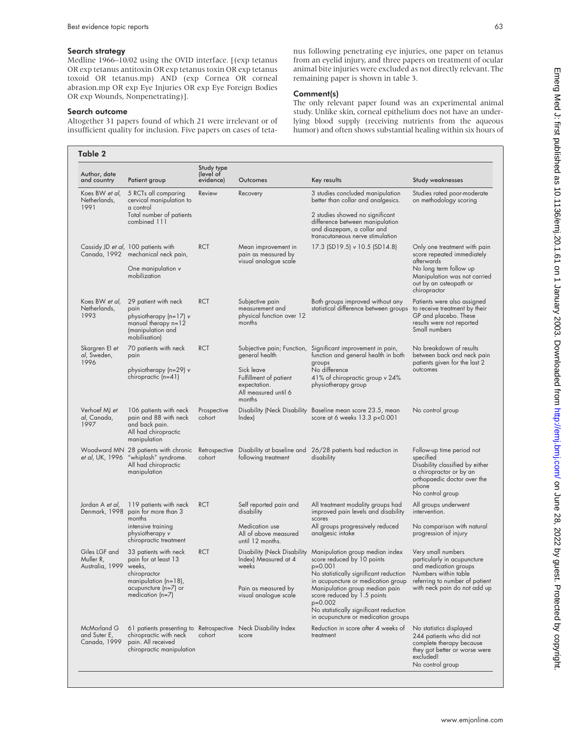#### Search strategy

Medline 1966–10/02 using the OVID interface. [(exp tetanus OR exp tetanus antitoxin OR exp tetanus toxin OR exp tetanus toxoid OR tetanus.mp) AND (exp Cornea OR corneal abrasion.mp OR exp Eye Injuries OR exp Eye Foreign Bodies OR exp Wounds, Nonpenetrating)].

#### Search outcome

 $T = 120$ 

Altogether 31 papers found of which 21 were irrelevant or of insufficient quality for inclusion. Five papers on cases of tetanus following penetrating eye injuries, one paper on tetanus from an eyelid injury, and three papers on treatment of ocular animal bite injuries were excluded as not directly relevant. The remaining paper is shown in table 3.

### Comment(s)

The only relevant paper found was an experimental animal study. Unlike skin, corneal epithelium does not have an underlying blood supply (receiving nutrients from the aqueous humor) and often shows substantial healing within six hours of

| Author, date<br>and country                          | Patient group                                                                                                                              | Study type<br>(level of<br>evidence) | Outcomes                                                                               | Key results                                                                                                                                                                                       | Study weaknesses                                                                                                                                                 |  |
|------------------------------------------------------|--------------------------------------------------------------------------------------------------------------------------------------------|--------------------------------------|----------------------------------------------------------------------------------------|---------------------------------------------------------------------------------------------------------------------------------------------------------------------------------------------------|------------------------------------------------------------------------------------------------------------------------------------------------------------------|--|
| Koes BW et al,<br>Netherlands,<br>1991               | 5 RCTs all comparing<br>cervical manipulation to<br>a control                                                                              | Review                               | Recovery                                                                               | 3 studies concluded manipulation<br>better than collar and analgesics.                                                                                                                            | Studies rated poor-moderate<br>on methodology scoring                                                                                                            |  |
|                                                      | Total number of patients<br>combined 111                                                                                                   |                                      |                                                                                        | 2 studies showed no significant<br>difference between manipulation<br>and diazepam, a collar and<br>transcutaneous nerve stimulation                                                              |                                                                                                                                                                  |  |
|                                                      | Cassidy JD et al, 100 patients with<br>Canada, 1992 mechanical neck pain,                                                                  | <b>RCT</b>                           | Mean improvement in<br>pain as measured by<br>visual analogue scale                    | 17.3 (SD19.5) v 10.5 (SD14.8)                                                                                                                                                                     | Only one treatment with pain<br>score repeated immediately<br>afterwards                                                                                         |  |
|                                                      | One manipulation v<br>mobilization                                                                                                         |                                      |                                                                                        |                                                                                                                                                                                                   | No long term follow up<br>Manipulation was not carried<br>out by an osteopath or<br>chiropractor                                                                 |  |
| Koes BW et al,<br>Netherlands,<br>1993               | 29 patient with neck<br>pain<br>physiotherapy $(n=17)$ v<br>manual therapy $n=12$<br>(manipulation and<br>mobilisation)                    | <b>RCT</b>                           | Subjective pain<br>measurement and<br>physical function over 12<br>months              | Both groups improved without any<br>statistical difference between groups                                                                                                                         | Patients were also assigned<br>to receive treatment by their<br>GP and placebo. These<br>results were not reported<br>Small numbers                              |  |
| Skargren El et<br>al, Sweden,<br>1996                | 70 patients with neck<br>pain                                                                                                              | <b>RCT</b>                           | general health                                                                         | Subjective pain; Function, Significant improvement in pain,<br>function and general health in both<br>groups                                                                                      | No breakdown of results<br>between back and neck pain<br>patients given for the last 2                                                                           |  |
|                                                      | physiotherapy ( $n=29$ ) v<br>chiropractic (n=41)                                                                                          |                                      | Sick leave<br>Fulfillment of patient<br>expectation.<br>All measured until 6<br>months | No difference<br>41% of chiropractic group v 24%<br>physiotherapy group                                                                                                                           | outcomes                                                                                                                                                         |  |
| Verhoef MJ et<br>al, Canada,<br>1997                 | 106 patients with neck<br>pain and 88 with neck<br>and back pain.<br>All had chiropractic<br>manipulation                                  | Prospective<br>cohort                | Index)                                                                                 | Disability (Neck Disability Baseline mean score 23.5, mean<br>score at 6 weeks 13.3 p<0.001                                                                                                       | No control group                                                                                                                                                 |  |
|                                                      | Woodward MN 28 patients with chronic<br>et al, UK, 1996 "whiplash" syndrome.<br>All had chiropractic<br>manipulation                       | cohort                               | following treatment                                                                    | Retrospective Disability at baseline and 26/28 patients had reduction in<br>disability                                                                                                            | Follow-up time period not<br>specified<br>Disability classified by either<br>a chiropractor or by an<br>orthopaedic doctor over the<br>phone<br>No control group |  |
| Jordan A <i>et al</i> ,                              | 119 patients with neck<br>Denmark, 1998 pain for more than 3<br>months                                                                     | <b>RCT</b>                           | Self reported pain and<br>disability                                                   | All treatment modality groups had<br>improved pain levels and disability<br>scores                                                                                                                | All groups underwent<br>intervention.                                                                                                                            |  |
|                                                      | intensive training<br>physiotherapy v<br>chiropractic treatment                                                                            |                                      | Medication use<br>All of above measured<br>until 12 months.                            | All groups progressively reduced<br>analgesic intake                                                                                                                                              | No comparison with natural<br>progression of injury                                                                                                              |  |
| Giles LGF and<br>Muller R,<br>Australia, 1999 weeks, | 33 patients with neck<br>pain for at least 13<br>chiropractor                                                                              | <b>RCT</b>                           | Index) Measured at 4<br>weeks                                                          | Disability (Neck Disability Manipulation group median index<br>score reduced by 10 points<br>$p=0.001$<br>No statistically significant reduction                                                  | Very small numbers<br>particularly in acupuncture<br>and medication groups<br>Numbers within table                                                               |  |
|                                                      | manipulation $(n=18)$ ,<br>acupuncture $(n=7)$ or<br>medication $(n=7)$                                                                    |                                      | Pain as measured by<br>visual analogue scale                                           | in acupuncture or medication group<br>Manipulation group median pain<br>score reduced by 1.5 points<br>$p=0.002$<br>No statistically significant reduction<br>in acupuncture or medication groups | referring to number of patient<br>with neck pain do not add up                                                                                                   |  |
| McMorland G<br>and Suter E<br>Canada, 1999           | 61 patients presenting to Retrospective Neck Disability Index<br>chiropractic with neck<br>pain. All received<br>chiropractic manipulation | cohort                               | score                                                                                  | Reduction in score after 4 weeks of<br>treatment                                                                                                                                                  | No statistics displayed<br>244 patients who did not<br>complete therapy because<br>they got better or worse were<br>excluded!<br>No control group                |  |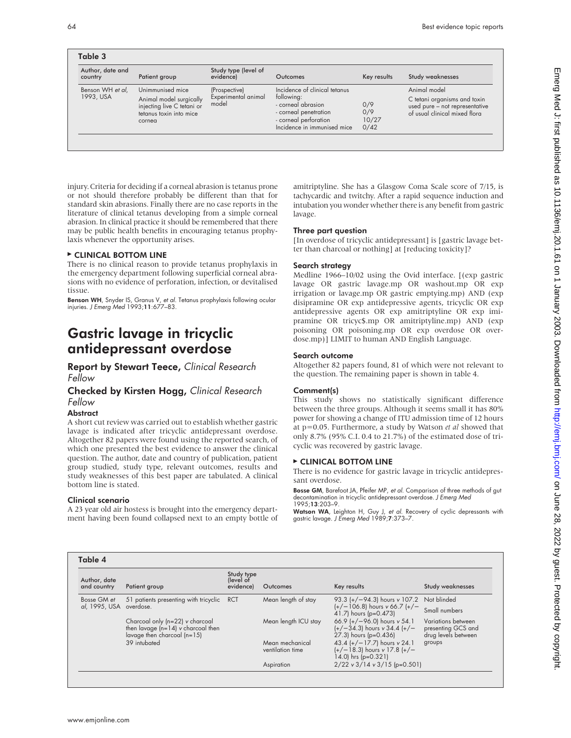| Author, date and<br>country   | Patient group                                                                                                  | Study type (level of<br>evidence)             | Outcomes                                                                                                                                           | Key results                 | Study weaknesses                                                                                                |
|-------------------------------|----------------------------------------------------------------------------------------------------------------|-----------------------------------------------|----------------------------------------------------------------------------------------------------------------------------------------------------|-----------------------------|-----------------------------------------------------------------------------------------------------------------|
| Benson WH et al,<br>1993, USA | Unimmunised mice<br>Animal model surgically<br>injecting live C tetani or<br>tetanus toxin into mice<br>cornea | (Prospective)<br>Experimental animal<br>model | Incidence of clinical tetanus<br>following:<br>- corneal abrasion<br>- corneal penetration<br>- corneal perforation<br>Incidence in immunised mice | 0/9<br>0/9<br>10/27<br>0/42 | Animal model<br>C tetani organisms and toxin<br>used pure - not representative<br>of usual clinical mixed flora |

injury. Criteria for deciding if a corneal abrasion is tetanus prone or not should therefore probably be different than that for standard skin abrasions. Finally there are no case reports in the literature of clinical tetanus developing from a simple corneal abrasion. In clinical practice it should be remembered that there may be public health benefits in encouraging tetanus prophylaxis whenever the opportunity arises.

#### $\triangleright$  CLINICAL BOTTOM LINE

There is no clinical reason to provide tetanus prophylaxis in the emergency department following superficial corneal abrasions with no evidence of perforation, infection, or devitalised tissue.

**Benson WH**, Snyder IS, Granus V, *et al*. Tetanus prophylaxis following ocular<br>injuries. *J Emerg Med* 1993;**11**:677–83.

## Gastric lavage in tricyclic antidepressant overdose

Report by Stewart Teece, Clinical Research Fellow

## Checked by Kirsten Hogg, Clinical Research Fellow

#### **Abstract**

A short cut review was carried out to establish whether gastric lavage is indicated after tricyclic antidepressant overdose. Altogether 82 papers were found using the reported search, of which one presented the best evidence to answer the clinical question. The author, date and country of publication, patient group studied, study type, relevant outcomes, results and study weaknesses of this best paper are tabulated. A clinical bottom line is stated.

#### Clinical scenario

A 23 year old air hostess is brought into the emergency department having been found collapsed next to an empty bottle of amitriptyline. She has a Glasgow Coma Scale score of 7/15, is tachycardic and twitchy. After a rapid sequence induction and intubation you wonder whether there is any benefit from gastric lavage.

#### Three part question

[In overdose of tricyclic antidepressant] is [gastric lavage better than charcoal or nothing] at [reducing toxicity]?

#### Search strategy

Medline 1966–10/02 using the Ovid interface. [(exp gastric lavage OR gastric lavage.mp OR washout.mp OR exp irrigation or lavage.mp OR gastric emptying.mp) AND (exp disipramine OR exp antidepressive agents, tricyclic OR exp antidepressive agents OR exp amitriptyline OR exp imipramine OR tricyc\$.mp OR amitriptyline.mp) AND (exp poisoning OR poisoning.mp OR exp overdose OR overdose.mp)] LIMIT to human AND English Language.

#### Search outcome

Altogether 82 papers found, 81 of which were not relevant to the question. The remaining paper is shown in table 4.

#### Comment(s)

This study shows no statistically significant difference between the three groups. Although it seems small it has 80% power for showing a change of ITU admission time of 12 hours at p=0.05. Furthermore, a study by Watson *et al* showed that only 8.7% (95% C.I. 0.4 to 21.7%) of the estimated dose of tricyclic was recovered by gastric lavage.

#### $\triangleright$  CLINICAL BOTTOM LINE

There is no evidence for gastric lavage in tricyclic antidepressant overdose.

Bosse GM, Barefoot JA, Pfeifer MP, et al. Comparison of three methods of gut decontamination in tricyclic antidepressant overdose. J Emerg Med 1995;13:203–9.

Watson WA, Leighton H, Guy J, et al. Recovery of cyclic depressants with gastric lavage. J Emerg Med 1989;7:373–7.

| Author, date<br>and country  | Patient group                                                                                          | Study type<br>(level of<br>evidence) | Outcomes                            | Key results                                                                                 | Study weaknesses                                                |
|------------------------------|--------------------------------------------------------------------------------------------------------|--------------------------------------|-------------------------------------|---------------------------------------------------------------------------------------------|-----------------------------------------------------------------|
| Bosse GM et<br>al, 1995, USA | 51 patients presenting with tricyclic RCT                                                              |                                      | Mean length of stay                 | 93.3 (+/- 94.3) hours v 107.2<br>$(+/- 106.8)$ hours v 66.7 $(+/-$<br>41.7) hours (p=0.473) | Not blinded                                                     |
|                              | overdose.                                                                                              |                                      |                                     |                                                                                             | Small numbers                                                   |
|                              | Charcoal only (n=22) v charcoal<br>then lavage $(n=14)$ v charcoal then<br>lavage then charcoal (n=15) |                                      | Mean length ICU stay                | 66.9 (+/- 96.0) hours v 54.1<br>$(+/- 34.3)$ hours v 34.4 $(+/-$<br>27.3) hours (p=0.436)   | Variations between<br>presenting GCS and<br>drug levels between |
|                              | 39 intubated                                                                                           |                                      | Mean mechanical<br>ventilation time | 43.4 (+/- 17.7) hours v 24.1<br>$(+/- 18.3)$ hours v 17.8 $(+/-$<br>14.0) hrs $(p=0.321)$   | groups                                                          |
|                              |                                                                                                        |                                      | Aspiration                          | $2/22$ v 3/14 v 3/15 (p=0.501)                                                              |                                                                 |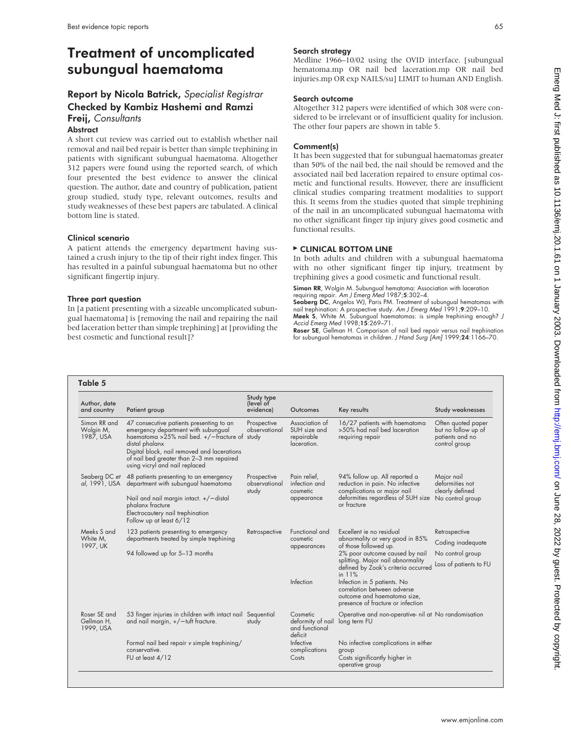# Treatment of uncomplicated subungual haematoma

## Report by Nicola Batrick, Specialist Registrar Checked by Kambiz Hashemi and Ramzi Freij, Consultants

## Abstract

A short cut review was carried out to establish whether nail removal and nail bed repair is better than simple trephining in patients with significant subungual haematoma. Altogether 312 papers were found using the reported search, of which four presented the best evidence to answer the clinical question. The author, date and country of publication, patient group studied, study type, relevant outcomes, results and study weaknesses of these best papers are tabulated. A clinical bottom line is stated.

### Clinical scenario

A patient attends the emergency department having sustained a crush injury to the tip of their right index finger. This has resulted in a painful subungual haematoma but no other significant fingertip injury.

### Three part question

In [a patient presenting with a sizeable uncomplicated subungual haematoma] is [removing the nail and repairing the nail bed laceration better than simple trephining] at [providing the best cosmetic and functional result]?

## Search strategy

Medline 1966–10/02 using the OVID interface. [subungual hematoma.mp OR nail bed laceration.mp OR nail bed injuries.mp OR exp NAILS/su] LIMIT to human AND English.

#### Search outcome

Altogether 312 papers were identified of which 308 were considered to be irrelevant or of insufficient quality for inclusion. The other four papers are shown in table 5.

## Comment(s)

It has been suggested that for subungual haematomas greater than 50% of the nail bed, the nail should be removed and the associated nail bed laceration repaired to ensure optimal cosmetic and functional results. However, there are insufficient clinical studies comparing treatment modalities to support this. It seems from the studies quoted that simple trephining of the nail in an uncomplicated subungual haematoma with no other significant finger tip injury gives good cosmetic and functional results.

## $\triangleright$  CLINICAL BOTTOM LINE

In both adults and children with a subungual haematoma with no other significant finger tip injury, treatment by trephining gives a good cosmetic and functional result.

Simon RR, Wolgin M. Subungual hematoma: Association with laceration requiring repair. A*m J Emerg Med* 1987;**5**:302–4.<br>**Seaberg DC**, Angelos WJ, Paris PM. Treatment of subungual hematomas with

nail trephination: A prospective study. Am J Emerg Med 1991;9:209-10. **Meek S**, White M. Subungual haematomas: is simple trephining enough? J<br>*Accid Emerg Med* 1998;**15**:269–71.

Roser SE, Gellman H. Comparison of nail bed repair versus nail trephination for subungual hematomas in children. J Hand Surg [Am] 1999;24:1166–70.

| Table 5                                 |                                                                                                                                                                                                                                                                                  |                                       |                                                             |                                                                                                                                                                                                              |                                                                                  |  |
|-----------------------------------------|----------------------------------------------------------------------------------------------------------------------------------------------------------------------------------------------------------------------------------------------------------------------------------|---------------------------------------|-------------------------------------------------------------|--------------------------------------------------------------------------------------------------------------------------------------------------------------------------------------------------------------|----------------------------------------------------------------------------------|--|
| Author, date<br>and country             | Patient group                                                                                                                                                                                                                                                                    | Study type<br>(level of<br>evidence)  | Outcomes                                                    | Key results                                                                                                                                                                                                  | Study weaknesses                                                                 |  |
| Simon RR and<br>Wolgin M,<br>1987, USA  | 47 consecutive patients presenting to an<br>emergency department with subunqual<br>haematoma >25% nail bed. +/- fracture of study<br>distal phalanx<br>Digital block, nail removed and lacerations<br>of nail bed greater than 2-3 mm repaired<br>using vicryl and nail replaced | Prospective<br>observational          | Association of<br>SUH size and<br>repairable<br>laceration. | 16/27 patients with haematoma<br>>50% had nail bed laceration<br>requiring repair                                                                                                                            | Often quoted paper<br>but no follow up of<br>patients and no<br>control group    |  |
|                                         | Seaberg DC et 48 patients presenting to an emergency<br>al, 1991, USA department with subungual haematoma<br>Nail and nail margin intact. $+/-$ distal<br>phalanx fracture<br>Electrocautery nail trephination<br>Follow up at least 6/12                                        | Prospective<br>observational<br>study | Pain relief,<br>infection and<br>cosmetic<br>appearance     | 94% follow up. All reported a<br>reduction in pain. No infective<br>complications or major nail<br>deformities regardless of SUH size<br>or fracture                                                         | Major nail<br>deformities not<br>clearly defined<br>No control group             |  |
| Meeks S and<br>White M.<br>1997, UK     | 123 patients presenting to emergency<br>departments treated by simple trephining<br>94 followed up for 5-13 months                                                                                                                                                               | Retrospective                         | Functional and<br>cosmetic<br>appearances                   | Excellent je no residual<br>abnormality or very good in 85%<br>of those followed up.<br>2% poor outcome caused by nail<br>splitting. Major nail abnormality<br>defined by Zook's criteria occurred<br>in 11% | Retrospective<br>Coding inadequate<br>No control group<br>Loss of patients to FU |  |
|                                         |                                                                                                                                                                                                                                                                                  |                                       | Infection                                                   | Infection in 5 patients. No<br>correlation between adverse<br>outcome and haematoma size.<br>presence of fracture or infection                                                                               |                                                                                  |  |
| Roser SE and<br>Gellman H,<br>1999, USA | 53 finger injuries in children with intact nail Sequential<br>and nail margin, +/- tuft fracture.                                                                                                                                                                                | study                                 | Cosmetic<br>deformity of nail<br>and functional<br>deficit  | Operative and non-operative- nil at No randomisation<br>long term FU                                                                                                                                         |                                                                                  |  |
|                                         | Formal nail bed repair v simple trephining/<br>conservative.<br>FU at least 4/12                                                                                                                                                                                                 |                                       | Infective<br>complications<br>Costs                         | No infective complications in either<br>group<br>Costs significantly higher in<br>operative group                                                                                                            |                                                                                  |  |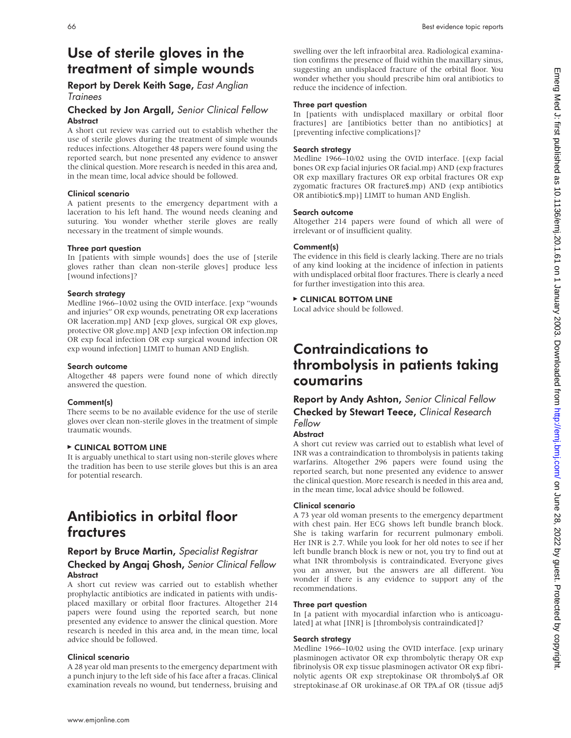# Use of sterile gloves in the treatment of simple wounds

## Report by Derek Keith Sage, East Anglian Trainees

## Checked by Jon Argall, Senior Clinical Fellow Abstract

A short cut review was carried out to establish whether the use of sterile gloves during the treatment of simple wounds reduces infections. Altogether 48 papers were found using the reported search, but none presented any evidence to answer the clinical question. More research is needed in this area and, in the mean time, local advice should be followed.

## Clinical scenario

A patient presents to the emergency department with a laceration to his left hand. The wound needs cleaning and suturing. You wonder whether sterile gloves are really necessary in the treatment of simple wounds.

## Three part question

In [patients with simple wounds] does the use of [sterile gloves rather than clean non-sterile gloves] produce less [wound infections]?

## Search strategy

Medline 1966–10/02 using the OVID interface. [exp "wounds and injuries" OR exp wounds, penetrating OR exp lacerations OR laceration.mp] AND [exp gloves, surgical OR exp gloves, protective OR glove.mp] AND [exp infection OR infection.mp OR exp focal infection OR exp surgical wound infection OR exp wound infection] LIMIT to human AND English.

### Search outcome

Altogether 48 papers were found none of which directly answered the question.

### Comment(s)

There seems to be no available evidence for the use of sterile gloves over clean non-sterile gloves in the treatment of simple traumatic wounds.

## $\triangleright$  CLINICAL BOTTOM LINE

It is arguably unethical to start using non-sterile gloves where the tradition has been to use sterile gloves but this is an area for potential research.

# Antibiotics in orbital floor fractures

## Report by Bruce Martin, Specialist Registrar Checked by Angaj Ghosh, Senior Clinical Fellow Abstract

A short cut review was carried out to establish whether prophylactic antibiotics are indicated in patients with undisplaced maxillary or orbital floor fractures. Altogether 214 papers were found using the reported search, but none presented any evidence to answer the clinical question. More research is needed in this area and, in the mean time, local advice should be followed.

## Clinical scenario

A 28 year old man presents to the emergency department with a punch injury to the left side of his face after a fracas. Clinical examination reveals no wound, but tenderness, bruising and swelling over the left infraorbital area. Radiological examination confirms the presence of fluid within the maxillary sinus, suggesting an undisplaced fracture of the orbital floor. You wonder whether you should prescribe him oral antibiotics to reduce the incidence of infection.

## Three part question

In [patients with undisplaced maxillary or orbital floor fractures] are [antibiotics better than no antibiotics] at [preventing infective complications]?

## Search strategy

Medline 1966–10/02 using the OVID interface. [(exp facial bones OR exp facial injuries OR facial.mp) AND (exp fractures OR exp maxillary fractures OR exp orbital fractures OR exp zygomatic fractures OR fracture\$.mp) AND (exp antibiotics OR antibiotic\$.mp)] LIMIT to human AND English.

## Search outcome

Altogether 214 papers were found of which all were of irrelevant or of insufficient quality.

## Comment(s)

The evidence in this field is clearly lacking. There are no trials of any kind looking at the incidence of infection in patients with undisplaced orbital floor fractures. There is clearly a need for further investigation into this area.

## $\triangleright$  CLINICAL BOTTOM LINE

Local advice should be followed.

# Contraindications to thrombolysis in patients taking coumarins

## Report by Andy Ashton, Senior Clinical Fellow Checked by Stewart Teece, Clinical Research Fellow

## **Abstract**

A short cut review was carried out to establish what level of INR was a contraindication to thrombolysis in patients taking warfarins. Altogether 296 papers were found using the reported search, but none presented any evidence to answer the clinical question. More research is needed in this area and, in the mean time, local advice should be followed.

### Clinical scenario

A 73 year old woman presents to the emergency department with chest pain. Her ECG shows left bundle branch block. She is taking warfarin for recurrent pulmonary emboli. Her INR is 2.7. While you look for her old notes to see if her left bundle branch block is new or not, you try to find out at what INR thrombolysis is contraindicated. Everyone gives you an answer, but the answers are all different. You wonder if there is any evidence to support any of the recommendations.

## Three part question

In [a patient with myocardial infarction who is anticoagulated] at what [INR] is [thrombolysis contraindicated]?

### Search strategy

Medline 1966–10/02 using the OVID interface. [exp urinary plasminogen activator OR exp thrombolytic therapy OR exp fibrinolysis OR exp tissue plasminogen activator OR exp fibrinolytic agents OR exp streptokinase OR thromboly\$.af OR streptokinase.af OR urokinase.af OR TPA.af OR (tissue adj5